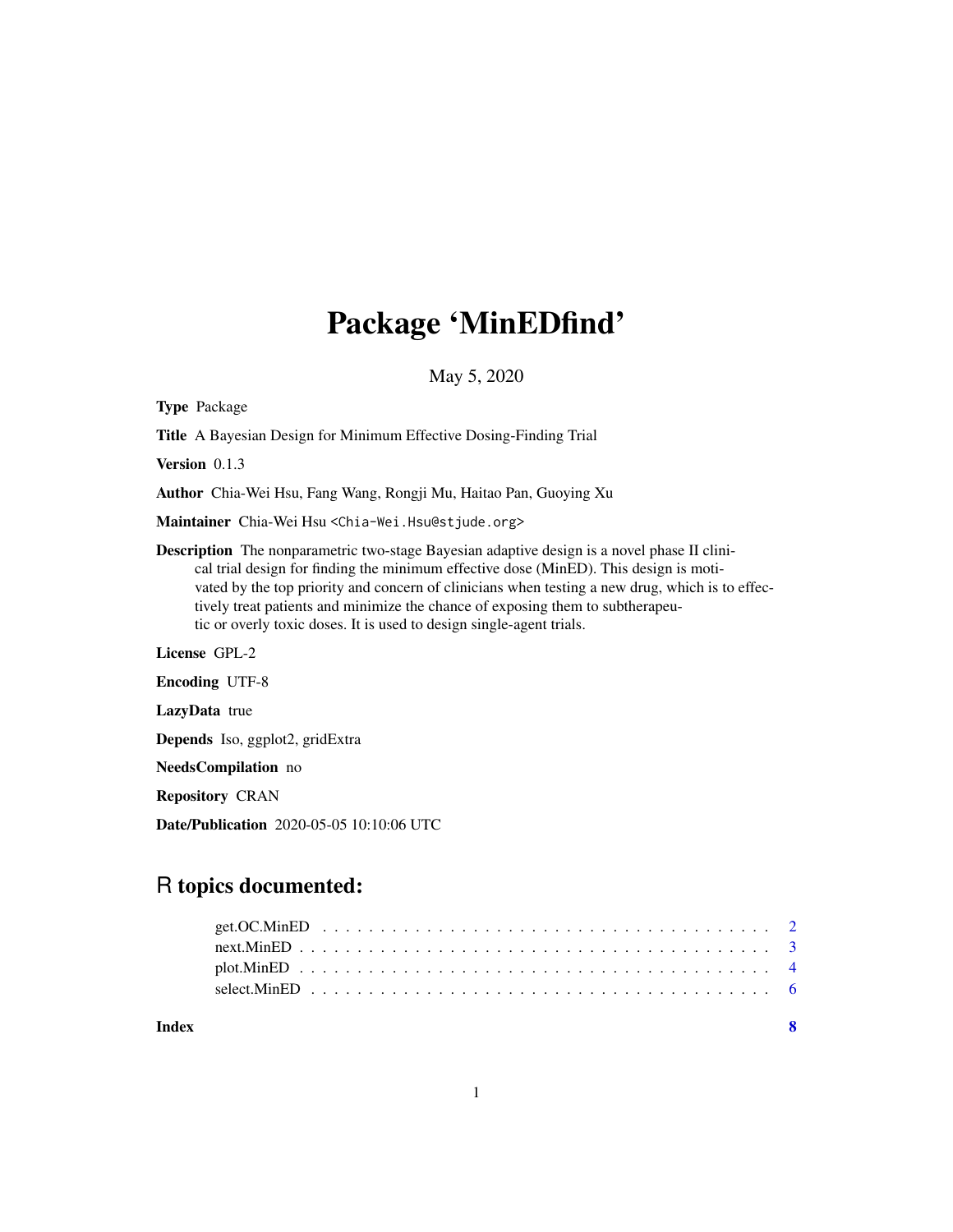## Package 'MinEDfind'

May 5, 2020

Type Package Title A Bayesian Design for Minimum Effective Dosing-Finding Trial Version 0.1.3 Author Chia-Wei Hsu, Fang Wang, Rongji Mu, Haitao Pan, Guoying Xu Maintainer Chia-Wei Hsu <Chia-Wei.Hsu@stjude.org> Description The nonparametric two-stage Bayesian adaptive design is a novel phase II clinical trial design for finding the minimum effective dose (MinED). This design is motivated by the top priority and concern of clinicians when testing a new drug, which is to effectively treat patients and minimize the chance of exposing them to subtherapeutic or overly toxic doses. It is used to design single-agent trials. License GPL-2 Encoding UTF-8 LazyData true Depends Iso, ggplot2, gridExtra NeedsCompilation no Repository CRAN

Date/Publication 2020-05-05 10:10:06 UTC

### R topics documented:

| Index |  |  |
|-------|--|--|
|       |  |  |
|       |  |  |
|       |  |  |
|       |  |  |
|       |  |  |

1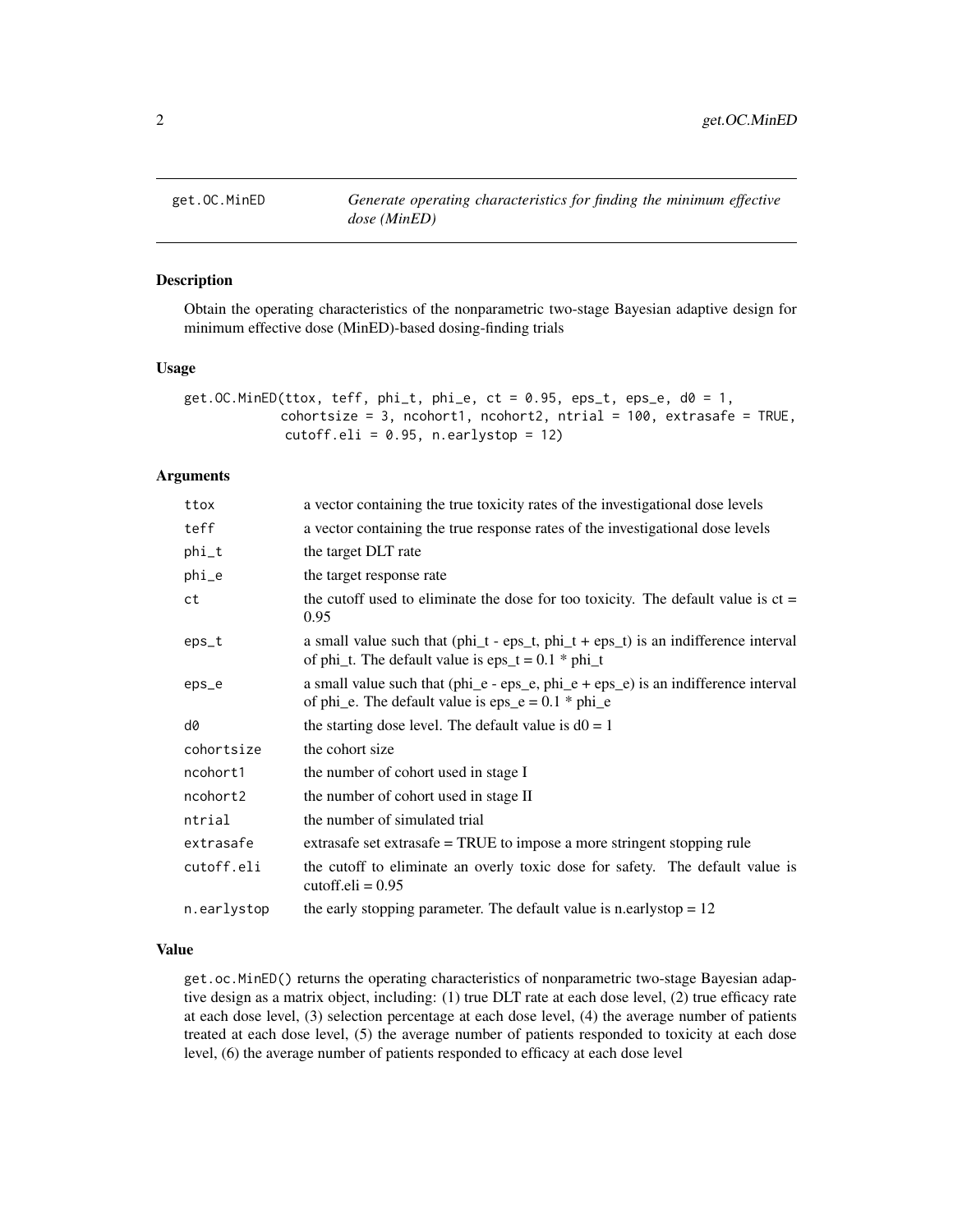<span id="page-1-0"></span>

#### Description

Obtain the operating characteristics of the nonparametric two-stage Bayesian adaptive design for minimum effective dose (MinED)-based dosing-finding trials

#### Usage

```
get.OC.MinED(ttox, teff, phi_t, phi_t, phi_t, ct = 0.95, eps_t, eps_t, d0 = 1,
             cohortsize = 3, ncohort1, ncohort2, ntrial = 100, extrasafe = TRUE,
             cutoff.eli = 0.95, n.earlystop = 12)
```
#### Arguments

| ttox        | a vector containing the true toxicity rates of the investigational dose levels                                                                                           |
|-------------|--------------------------------------------------------------------------------------------------------------------------------------------------------------------------|
| teff        | a vector containing the true response rates of the investigational dose levels                                                                                           |
| phi_t       | the target DLT rate                                                                                                                                                      |
| phi_e       | the target response rate                                                                                                                                                 |
| ct          | the cutoff used to eliminate the dose for too toxicity. The default value is $ct =$<br>0.95                                                                              |
| $eps_t$     | a small value such that $(\text{phi}_t - \text{eps}_t, \text{phi}_t + \text{eps}_t)$ is an indifference interval<br>of phi_t. The default value is eps_t = $0.1 * phi_t$ |
| eps_e       | a small value such that $(\text{phi}_e - \text{eps}_e, \text{phi}_e + \text{eps}_e)$ is an indifference interval<br>of phi_e. The default value is $eps_e = 0.1 * phi_e$ |
| d0          | the starting dose level. The default value is $d0 = 1$                                                                                                                   |
| cohortsize  | the cohort size                                                                                                                                                          |
| ncohort1    | the number of cohort used in stage I                                                                                                                                     |
| ncohort2    | the number of cohort used in stage II                                                                                                                                    |
| ntrial      | the number of simulated trial                                                                                                                                            |
| extrasafe   | extrasafe set extrasafe = TRUE to impose a more stringent stopping rule                                                                                                  |
| cutoff.eli  | the cutoff to eliminate an overly toxic dose for safety. The default value is<br>cutoff.eli = $0.95$                                                                     |
| n.earlystop | the early stopping parameter. The default value is n.earlystop $= 12$                                                                                                    |

#### Value

get.oc.MinED() returns the operating characteristics of nonparametric two-stage Bayesian adaptive design as a matrix object, including: (1) true DLT rate at each dose level, (2) true efficacy rate at each dose level, (3) selection percentage at each dose level, (4) the average number of patients treated at each dose level, (5) the average number of patients responded to toxicity at each dose level, (6) the average number of patients responded to efficacy at each dose level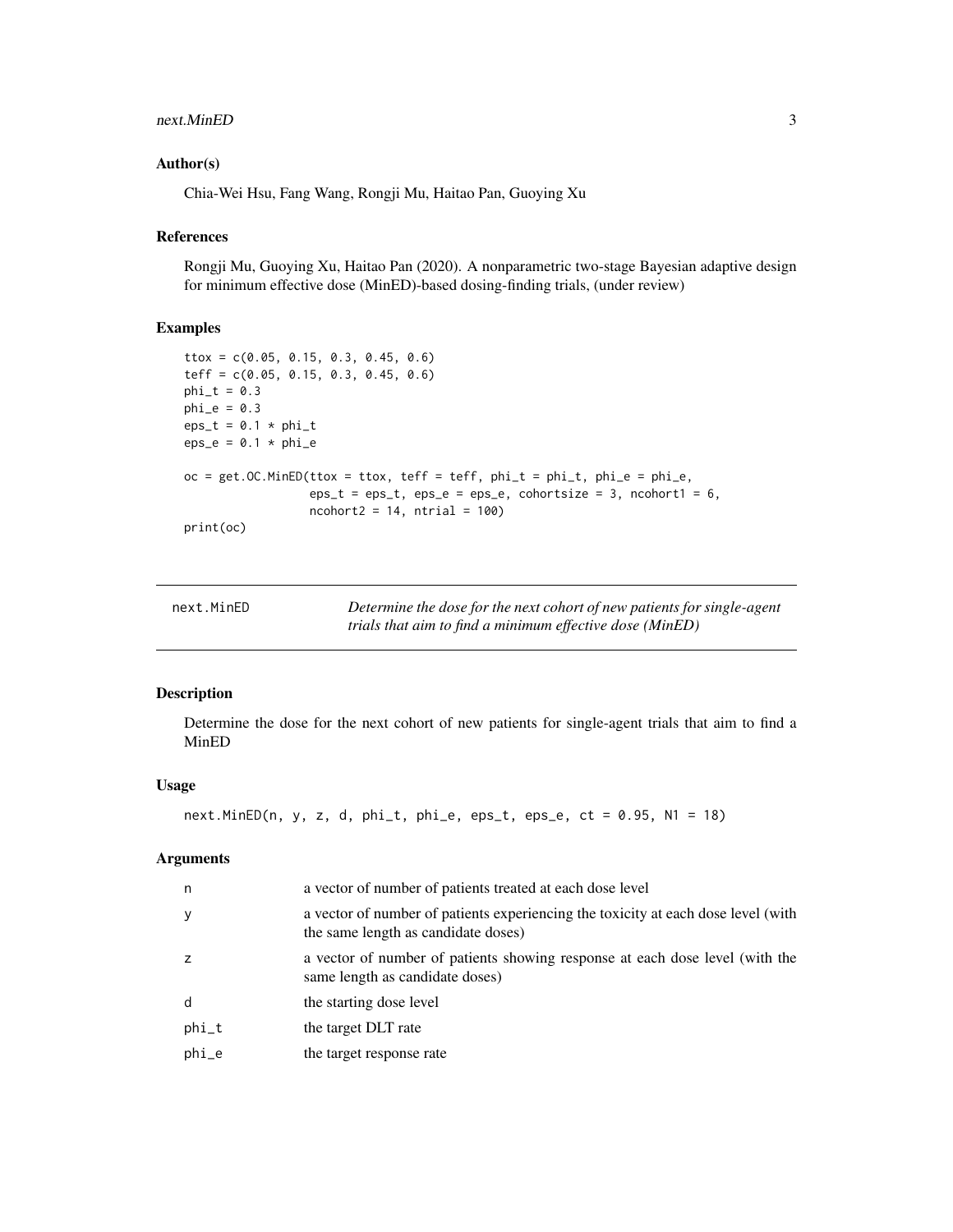#### <span id="page-2-0"></span>next.MinED 3

#### Author(s)

Chia-Wei Hsu, Fang Wang, Rongji Mu, Haitao Pan, Guoying Xu

#### References

Rongji Mu, Guoying Xu, Haitao Pan (2020). A nonparametric two-stage Bayesian adaptive design for minimum effective dose (MinED)-based dosing-finding trials, (under review)

#### Examples

```
ttox = c(0.05, 0.15, 0.3, 0.45, 0.6)
teff = c(0.05, 0.15, 0.3, 0.45, 0.6)
phi_t = 0.3phi_e = 0.3eps_t = 0.1 * phi_teps_e = 0.1 * phi_eoc = get. OC.MinED(ttox = ttox, teff = teff, phi_t = phi_t, phi_e = phi_e,eps_t =eps_t, eps_e =eps_e, cohortsize = 3, ncohort1 = 6,
                 ncohort2 = 14, ntrial = 100print(oc)
```

| next.MinED | Determine the dose for the next cohort of new patients for single-agent |
|------------|-------------------------------------------------------------------------|
|            | trials that aim to find a minimum effective dose (MinED)                |

#### Description

Determine the dose for the next cohort of new patients for single-agent trials that aim to find a MinED

#### Usage

```
next.MinED(n, y, z, d, phi_t, phi_e, eps_t, eps_e, ct = 0.95, N1 = 18)
```
#### Arguments

| n.      | a vector of number of patients treated at each dose level                                                                |
|---------|--------------------------------------------------------------------------------------------------------------------------|
| у       | a vector of number of patients experiencing the toxicity at each dose level (with<br>the same length as candidate doses) |
|         | a vector of number of patients showing response at each dose level (with the<br>same length as candidate doses)          |
| d       | the starting dose level                                                                                                  |
| $phi_t$ | the target DLT rate                                                                                                      |
| phi_e   | the target response rate                                                                                                 |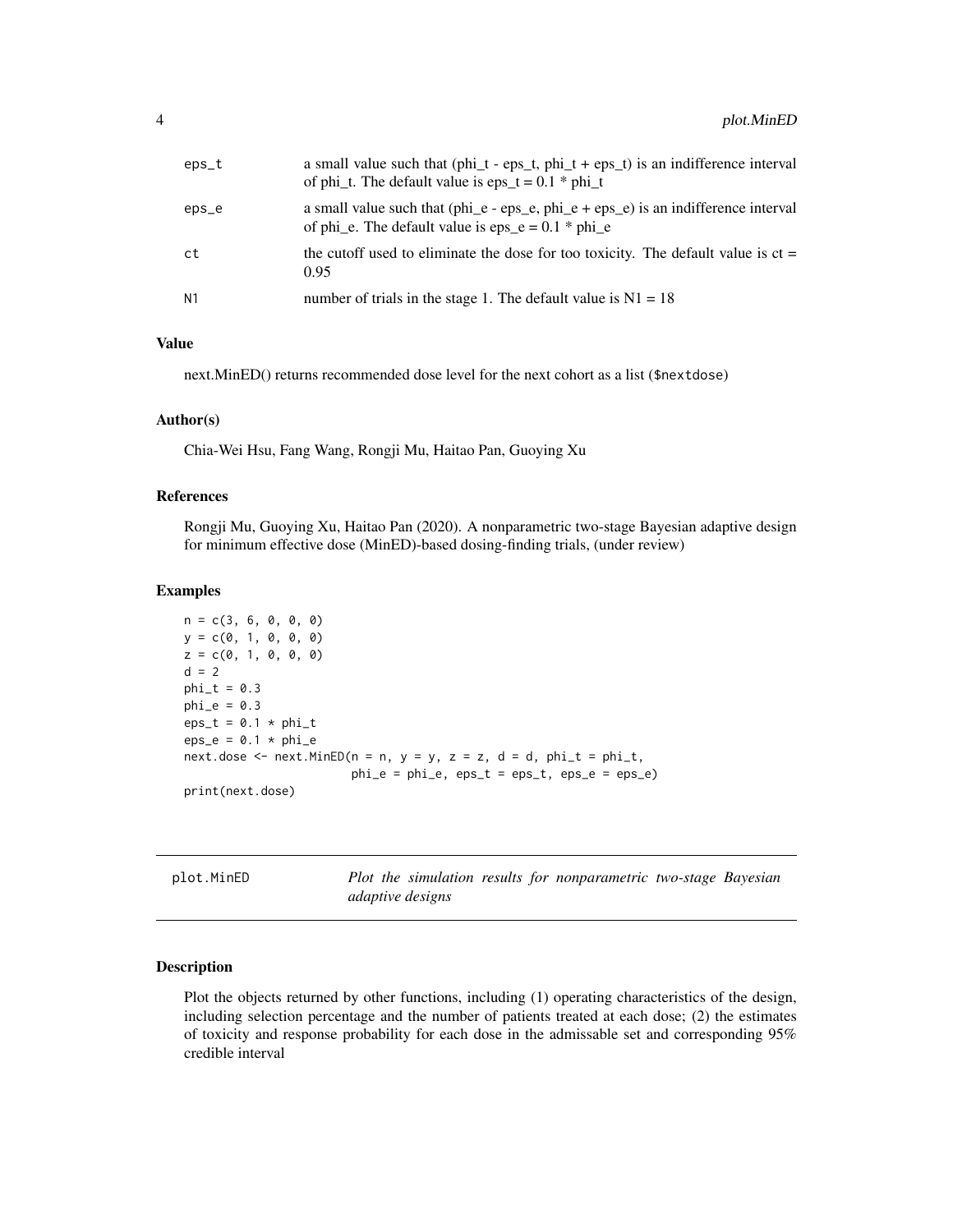<span id="page-3-0"></span>

| $eps_t$        | a small value such that $(\text{phi}_t - \text{eps}_t, \text{phi}_t + \text{eps}_t)$ is an indifference interval<br>of phi_t. The default value is eps_t = $0.1 * phi_t$ |
|----------------|--------------------------------------------------------------------------------------------------------------------------------------------------------------------------|
| eps_e          | a small value such that $(\text{phi}_e - \text{eps}_e, \text{phi}_e + \text{eps}_e)$ is an indifference interval<br>of phi_e. The default value is eps_e = $0.1 * phi$ e |
| ct             | the cutoff used to eliminate the dose for too toxicity. The default value is $ct =$<br>0.95                                                                              |
| N <sub>1</sub> | number of trials in the stage 1. The default value is $N1 = 18$                                                                                                          |

#### Value

next.MinED() returns recommended dose level for the next cohort as a list (\$nextdose)

#### Author(s)

Chia-Wei Hsu, Fang Wang, Rongji Mu, Haitao Pan, Guoying Xu

#### References

Rongji Mu, Guoying Xu, Haitao Pan (2020). A nonparametric two-stage Bayesian adaptive design for minimum effective dose (MinED)-based dosing-finding trials, (under review)

#### Examples

```
n = c(3, 6, 0, 0, 0)y = c(0, 1, 0, 0, 0)z = c(0, 1, 0, 0, 0)d = 2phi_t = 0.3phi_e = 0.3eps_t = 0.1 * phi_teps_e = 0.1 * phi_enext.dose <- next.MinED(n = n, y = y, z = z, d = d, phi_t = phi_t,
                       phi_e = phi_e, eps_t = eps_t, eps_e = eps_e)print(next.dose)
```
plot.MinED *Plot the simulation results for nonparametric two-stage Bayesian adaptive designs*

#### Description

Plot the objects returned by other functions, including (1) operating characteristics of the design, including selection percentage and the number of patients treated at each dose; (2) the estimates of toxicity and response probability for each dose in the admissable set and corresponding 95% credible interval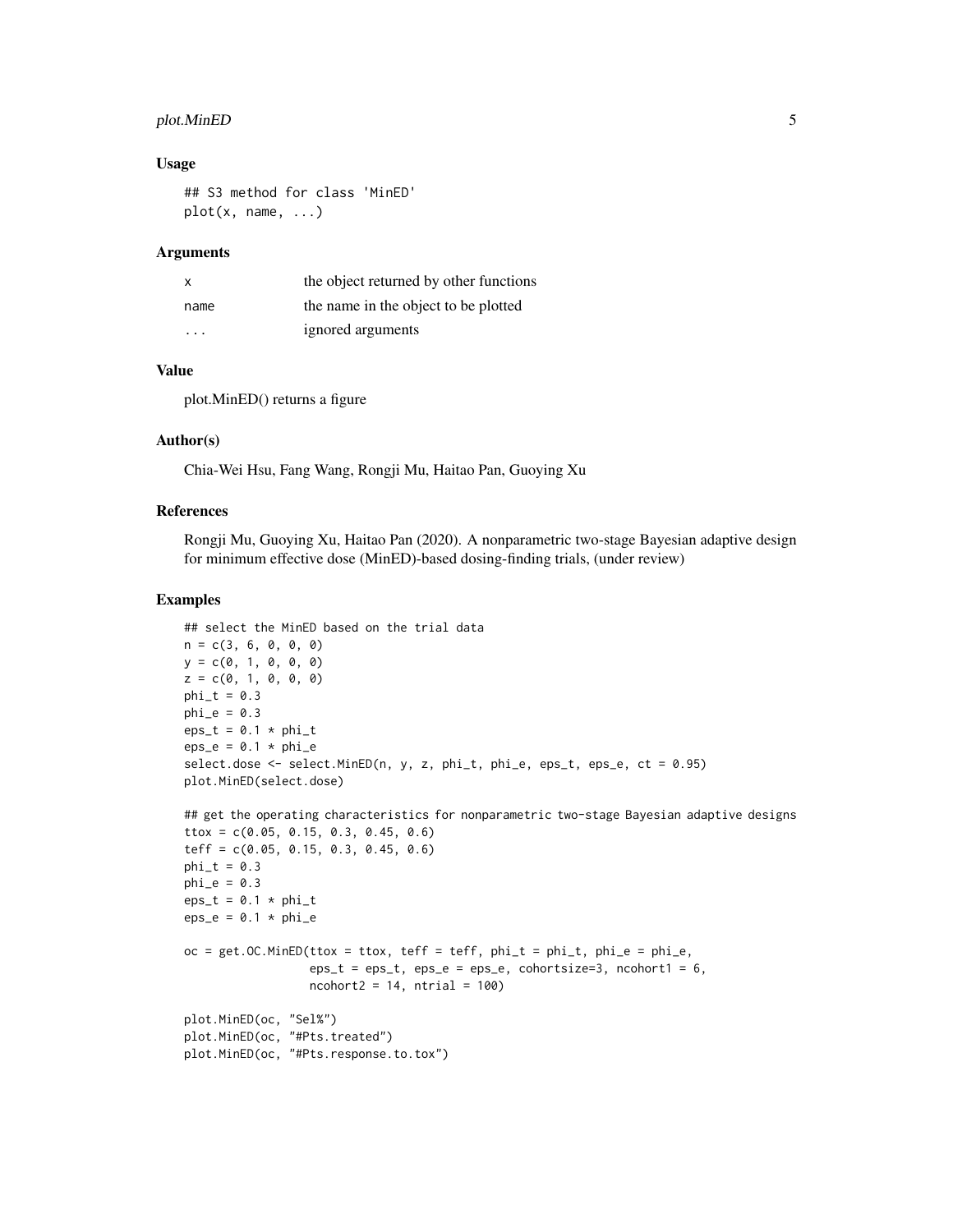#### plot. MinED 5

#### Usage

```
## S3 method for class 'MinED'
plot(x, name, ...)
```
#### **Arguments**

| X    | the object returned by other functions |
|------|----------------------------------------|
| name | the name in the object to be plotted   |
| .    | ignored arguments                      |

#### Value

plot.MinED() returns a figure

#### Author(s)

Chia-Wei Hsu, Fang Wang, Rongji Mu, Haitao Pan, Guoying Xu

#### References

Rongji Mu, Guoying Xu, Haitao Pan (2020). A nonparametric two-stage Bayesian adaptive design for minimum effective dose (MinED)-based dosing-finding trials, (under review)

#### Examples

```
## select the MinED based on the trial data
n = c(3, 6, 0, 0, 0)y = c(0, 1, 0, 0, 0)z = c(0, 1, 0, 0, 0)phi_t = 0.3phi_e = 0.3eps_t = 0.1 * phi_teps_e = 0.1 * phi_eselect.dose <- select.MinED(n, y, z, phi_t, phi_e, eps_t, eps_e, ct = 0.95)
plot.MinED(select.dose)
## get the operating characteristics for nonparametric two-stage Bayesian adaptive designs
ttox = c(0.05, 0.15, 0.3, 0.45, 0.6)
teff = c(0.05, 0.15, 0.3, 0.45, 0.6)
phi_t = 0.3phi_e = 0.3eps_t = 0.1 * phi_teps_e = 0.1 * phi_eoc = get. OC.MinED(ttox = ttox, teff = teff, phi_t = phi_t, phi_e = phi_e,eps_t =eps_t, eps_e =eps_e, cohortsize=3, ncohort1 = 6,
                 ncohort2 = 14, ntrial = 100plot.MinED(oc, "Sel%")
plot.MinED(oc, "#Pts.treated")
plot.MinED(oc, "#Pts.response.to.tox")
```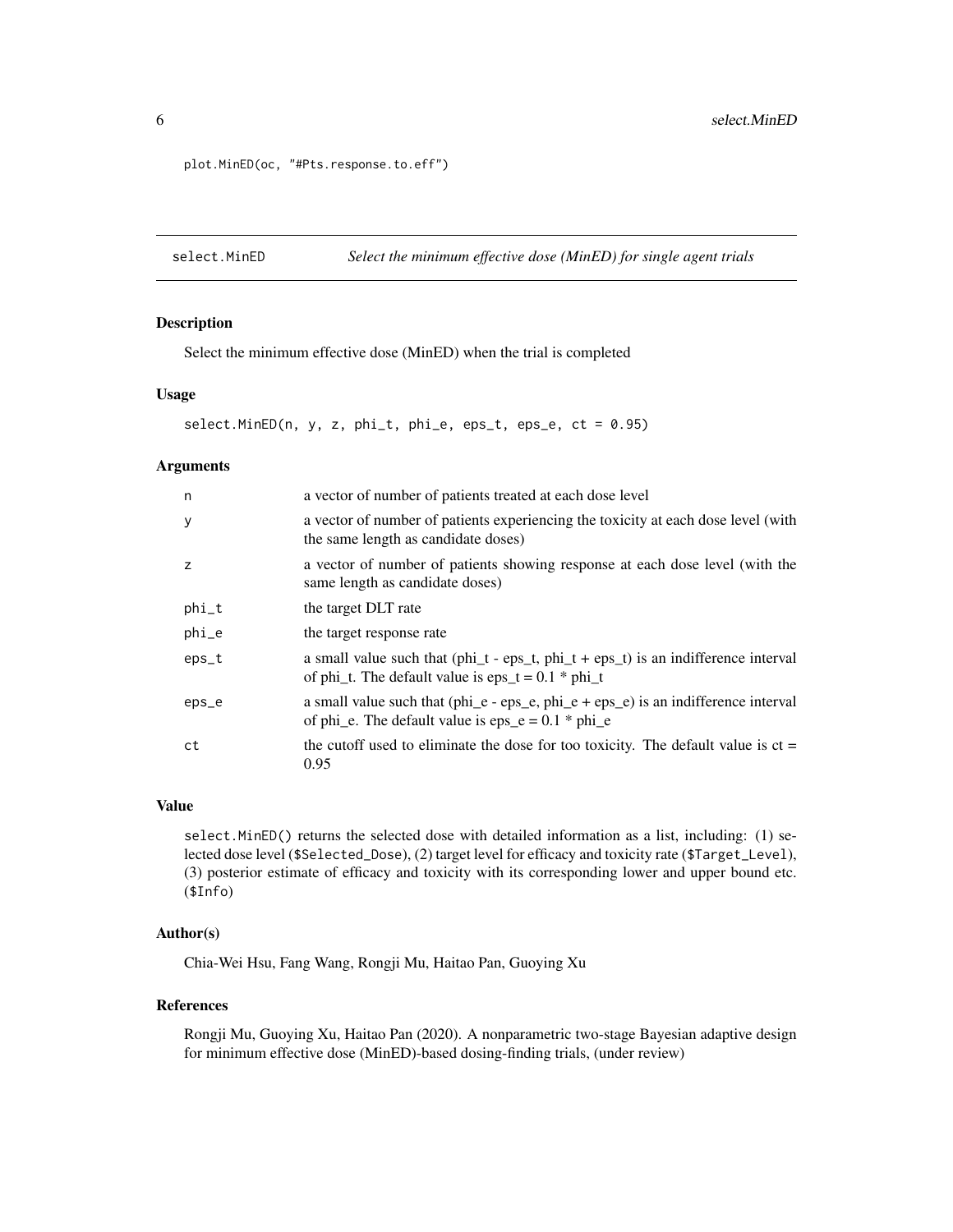```
plot.MinED(oc, "#Pts.response.to.eff")
```
select.MinED *Select the minimum effective dose (MinED) for single agent trials*

#### Description

Select the minimum effective dose (MinED) when the trial is completed

#### Usage

```
select.MinED(n, y, z, phi_t, phi_e, eps_t, eps_e, ct = 0.95)
```
#### Arguments

| n       | a vector of number of patients treated at each dose level                                                                                                                |
|---------|--------------------------------------------------------------------------------------------------------------------------------------------------------------------------|
| y       | a vector of number of patients experiencing the toxicity at each dose level (with<br>the same length as candidate doses)                                                 |
| z       | a vector of number of patients showing response at each dose level (with the<br>same length as candidate doses)                                                          |
| phi_t   | the target DLT rate                                                                                                                                                      |
| $phi_$  | the target response rate                                                                                                                                                 |
| $eps_t$ | a small value such that $(\text{phi}_t - \text{eps}_t, \text{phi}_t + \text{eps}_t)$ is an indifference interval<br>of phi_t. The default value is eps_t = $0.1 * phi_t$ |
| eps_e   | a small value such that $(\text{phi}_e - \text{eps}_e, \text{phi}_e + \text{eps}_e)$ is an indifference interval<br>of phi_e. The default value is $eps_e = 0.1 * phi_e$ |
| ct      | the cutoff used to eliminate the dose for too toxicity. The default value is $ct =$<br>0.95                                                                              |

#### Value

select.MinED() returns the selected dose with detailed information as a list, including: (1) selected dose level (\$Selected\_Dose), (2) target level for efficacy and toxicity rate (\$Target\_Level), (3) posterior estimate of efficacy and toxicity with its corresponding lower and upper bound etc. (\$Info)

#### Author(s)

Chia-Wei Hsu, Fang Wang, Rongji Mu, Haitao Pan, Guoying Xu

#### References

Rongji Mu, Guoying Xu, Haitao Pan (2020). A nonparametric two-stage Bayesian adaptive design for minimum effective dose (MinED)-based dosing-finding trials, (under review)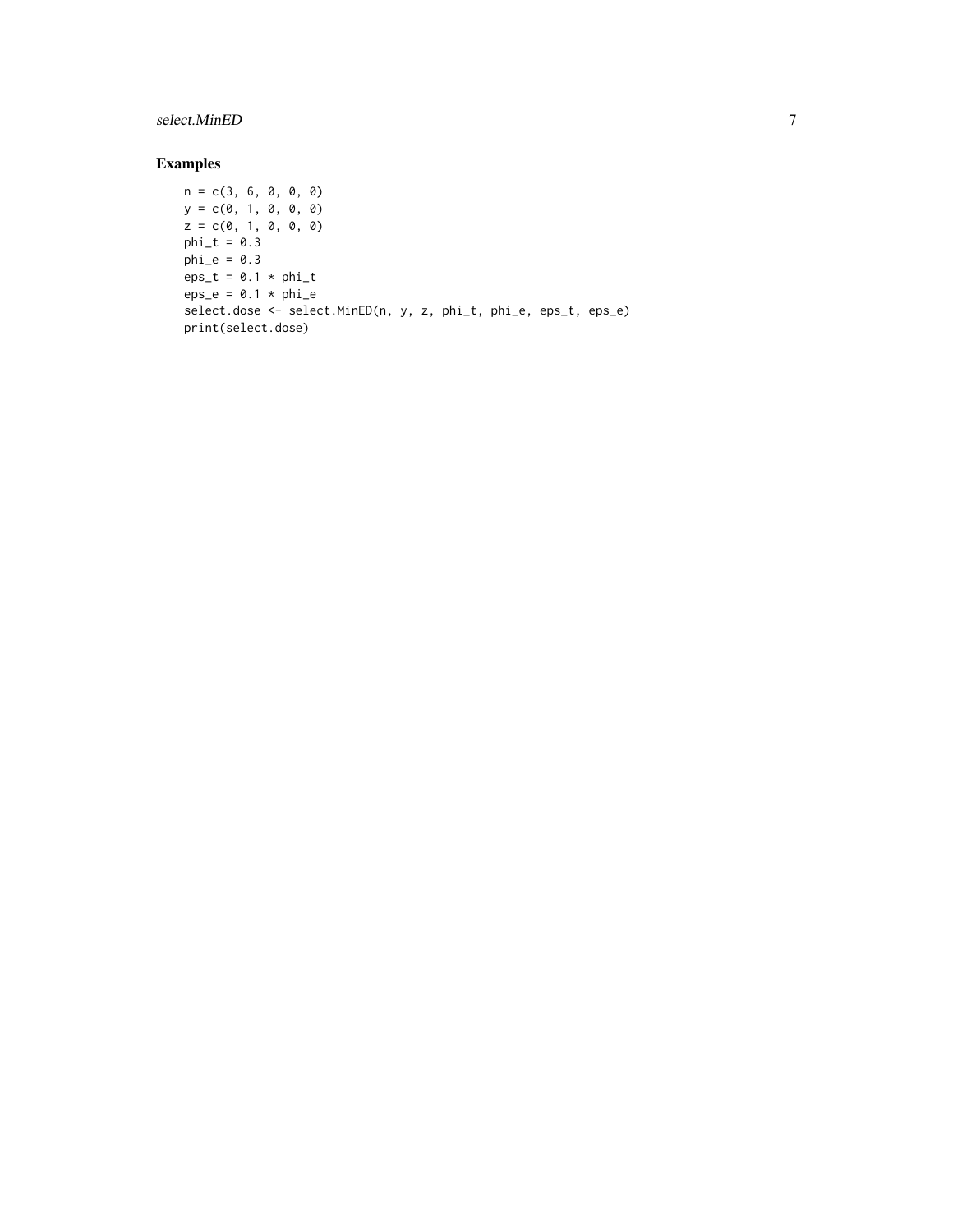#### select.MinED 7

#### Examples

```
n = c(3, 6, 0, 0, 0)
y = c(0, 1, 0, 0, 0)z = c(0, 1, 0, 0, 0)phi_t = 0.3phi_e = 0.3eps_t = 0.1 * phi_teps_e = 0.1 * phi_eselect.dose <- select.MinED(n, y, z, phi_t, phi_e, eps_t, eps_e)
print(select.dose)
```